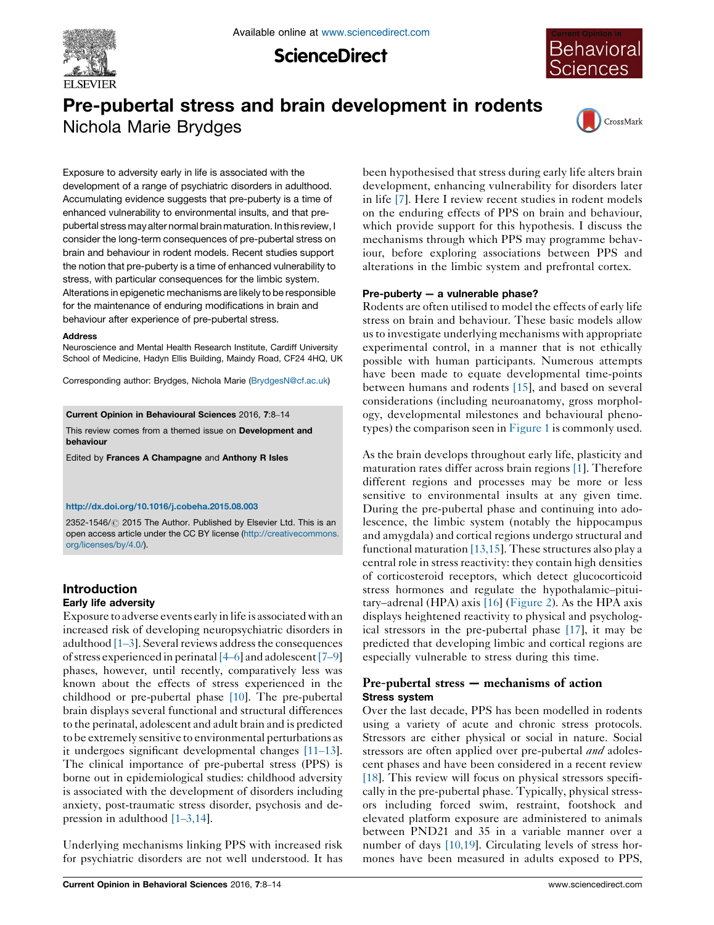

**ScienceDirect** 



# Pre-pubertal stress and brain development in rodents Nichola Marie Brydges



Exposure to adversity early in life is associated with the development of a range of psychiatric disorders in adulthood. Accumulating evidence suggests that pre-puberty is a time of enhanced vulnerability to environmental insults, and that prepubertal stress may alter normal brain maturation. In this review, I consider the long-term consequences of pre-pubertal stress on brain and behaviour in rodent models. Recent studies support the notion that pre-puberty is a time of enhanced vulnerability to stress, with particular consequences for the limbic system. Alterations in epigenetic mechanisms are likely to be responsible for the maintenance of enduring modifications in brain and behaviour after experience of pre-pubertal stress.

#### **Address**

Neuroscience and Mental Health Research Institute, Cardiff University School of Medicine, Hadyn Ellis Building, Maindy Road, CF24 4HQ, UK

Corresponding author: Brydges, Nichola Marie [\(BrydgesN@cf.ac.uk](mailto:BrydgesN@cf.ac.uk))

Current Opinion in Behavioural Sciences 2016, 7:8–14

This review comes from a themed issue on Development and behaviour

Edited by Frances A Champagne and Anthony R Isles

#### <http://dx.doi.org/10.1016/j.cobeha.2015.08.003>

2352-1546/ 2015 The Author. Published by Elsevier Ltd. This is an open access article under the CC BY license [\(http://creativecommons.](http://creativecommons.org/licenses/by/4.0/) [org/licenses/by/4.0/](http://creativecommons.org/licenses/by/4.0/)).

# Introduction

## Early life adversity

Exposure to adverse events early in life is associatedwith an increased risk of developing neuropsychiatric disorders in adulthood  $[1-3]$  $[1-3]$ . Several reviews address the consequences of stress experienced in perinatal [\[4](#page-4-0)–6] and adolescent [\[7](#page-4-0)–9] phases, however, until recently, comparatively less was known about the effects of stress experienced in the childhood or pre-pubertal phase [\[10\]](#page-4-0). The pre-pubertal brain displays several functional and structural differences to the perinatal, adolescent and adult brain and is predicted to be extremely sensitive to environmental perturbations as it undergoes significant developmental changes [\[11](#page-4-0)–13]. The clinical importance of pre-pubertal stress (PPS) is borne out in epidemiological studies: childhood adversity is associated with the development of disorders including anxiety, post-traumatic stress disorder, psychosis and depression in adulthood [1–[3,14](#page-4-0)].

Underlying mechanisms linking PPS with increased risk for psychiatric disorders are not well understood. It has

been hypothesised that stress during early life alters brain development, enhancing vulnerability for disorders later in life [\[7](#page-4-0)]. Here I review recent studies in rodent models on the enduring effects of PPS on brain and behaviour, which provide support for this hypothesis. I discuss the mechanisms through which PPS may programme behaviour, before exploring associations between PPS and alterations in the limbic system and prefrontal cortex.

## Pre-puberty — a vulnerable phase?

Rodents are often utilised to model the effects of early life stress on brain and behaviour. These basic models allow usto investigate underlying mechanisms with appropriate experimental control, in a manner that is not ethically possible with human participants. Numerous attempts have been made to equate developmental time-points between humans and rodents [\[15](#page-4-0)], and based on several considerations (including neuroanatomy, gross morphology, developmental milestones and behavioural phenotypes) the comparison seen in [Figure](#page-1-0) 1 is commonly used.

As the brain develops throughout early life, plasticity and maturation rates differ across brain regions [\[1\]](#page-4-0). Therefore different regions and processes may be more or less sensitive to environmental insults at any given time. During the pre-pubertal phase and continuing into adolescence, the limbic system (notably the hippocampus and amygdala) and cortical regions undergo structural and functional maturation [\[13,15](#page-4-0)]. These structures also play a central role in stress reactivity: they contain high densities of corticosteroid receptors, which detect glucocorticoid stress hormones and regulate the hypothalamic–pituitary–adrenal (HPA) axis [\[16](#page-4-0)] ([Figure](#page-1-0) 2). As the HPA axis displays heightened reactivity to physical and psychological stressors in the pre-pubertal phase [\[17\]](#page-4-0), it may be predicted that developing limbic and cortical regions are especially vulnerable to stress during this time.

# Pre-pubertal stress — mechanisms of action Stress system

Over the last decade, PPS has been modelled in rodents using a variety of acute and chronic stress protocols. Stressors are either physical or social in nature. Social stressors are often applied over pre-pubertal *and* adolescent phases and have been considered in a recent review [\[18](#page-4-0)]. This review will focus on physical stressors specifically in the pre-pubertal phase. Typically, physical stressors including forced swim, restraint, footshock and elevated platform exposure are administered to animals between PND21 and 35 in a variable manner over a number of days [\[10,19\]](#page-4-0). Circulating levels of stress hormones have been measured in adults exposed to PPS,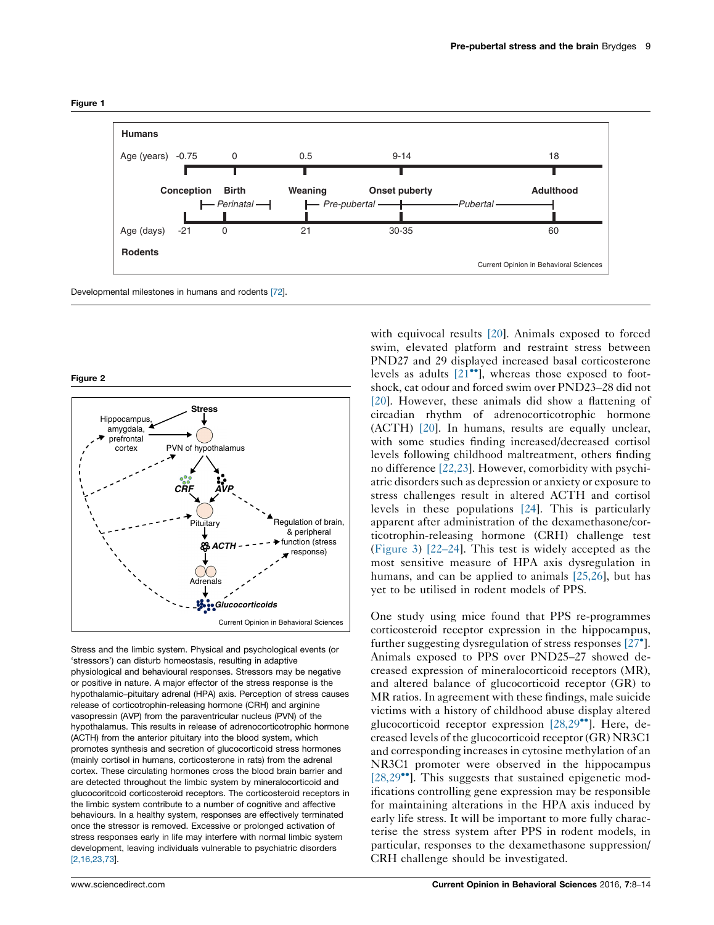<span id="page-1-0"></span>

Figure 2



Stress and the limbic system. Physical and psychological events (or 'stressors') can disturb homeostasis, resulting in adaptive physiological and behavioural responses. Stressors may be negative or positive in nature. A major effector of the stress response is the hypothalamic–pituitary adrenal (HPA) axis. Perception of stress causes release of corticotrophin-releasing hormone (CRH) and arginine vasopressin (AVP) from the paraventricular nucleus (PVN) of the hypothalamus. This results in release of adrenocorticotrophic hormone (ACTH) from the anterior pituitary into the blood system, which promotes synthesis and secretion of glucocorticoid stress hormones (mainly cortisol in humans, corticosterone in rats) from the adrenal cortex. These circulating hormones cross the blood brain barrier and are detected throughout the limbic system by mineralocorticoid and glucocoritcoid corticosteroid receptors. The corticosteroid receptors in the limbic system contribute to a number of cognitive and affective behaviours. In a healthy system, responses are effectively terminated once the stressor is removed. Excessive or prolonged activation of stress responses early in life may interfere with normal limbic system development, leaving individuals vulnerable to psychiatric disorders [\[2,16,23,73](#page-4-0)].

with equivocal results [\[20](#page-4-0)]. Animals exposed to forced swim, elevated platform and restraint stress between PND27 and 29 displayed increased basal corticosterone levels as adults  $[21^{\bullet\bullet}]$  $[21^{\bullet\bullet}]$ , whereas those exposed to footshock, cat odour and forced swim over PND23–28 did not [\[20](#page-4-0)]. However, these animals did show a flattening of circadian rhythm of adrenocorticotrophic hormone (ACTH) [\[20\]](#page-4-0). In humans, results are equally unclear, with some studies finding increased/decreased cortisol levels following childhood maltreatment, others finding no difference [\[22,23](#page-5-0)]. However, comorbidity with psychiatric disorders such as depression or anxiety or exposure to stress challenges result in altered ACTH and cortisol levels in these populations [\[24](#page-5-0)]. This is particularly apparent after administration of the dexamethasone/corticotrophin-releasing hormone (CRH) challenge test ([Figure](#page-2-0) 3) [\[22](#page-5-0)–24]. This test is widely accepted as the most sensitive measure of HPA axis dysregulation in humans, and can be applied to animals [\[25,26](#page-5-0)], but has yet to be utilised in rodent models of PPS.

One study using mice found that PPS re-programmes corticosteroid receptor expression in the hippocampus, further suggesting dysregulation of stress responses [\[27](#page-5-0)°]. Animals exposed to PPS over PND25–27 showed decreased expression of mineralocorticoid receptors (MR), and altered balance of glucocorticoid receptor (GR) to MR ratios. In agreement with these findings, male suicide victims with a history of childhood abuse display altered glucocorticoid receptor expression [\[28,29](#page-5-0)<sup>••</sup>]. Here, decreased levels of the glucocorticoid receptor (GR) NR3C1 and corresponding increases in cytosine methylation of an NR3C1 promoter were observed in the hippocampus [\[28,29](#page-5-0)<sup>••</sup>]. This suggests that sustained epigenetic modifications controlling gene expression may be responsible for maintaining alterations in the HPA axis induced by early life stress. It will be important to more fully characterise the stress system after PPS in rodent models, in particular, responses to the dexamethasone suppression/ CRH challenge should be investigated.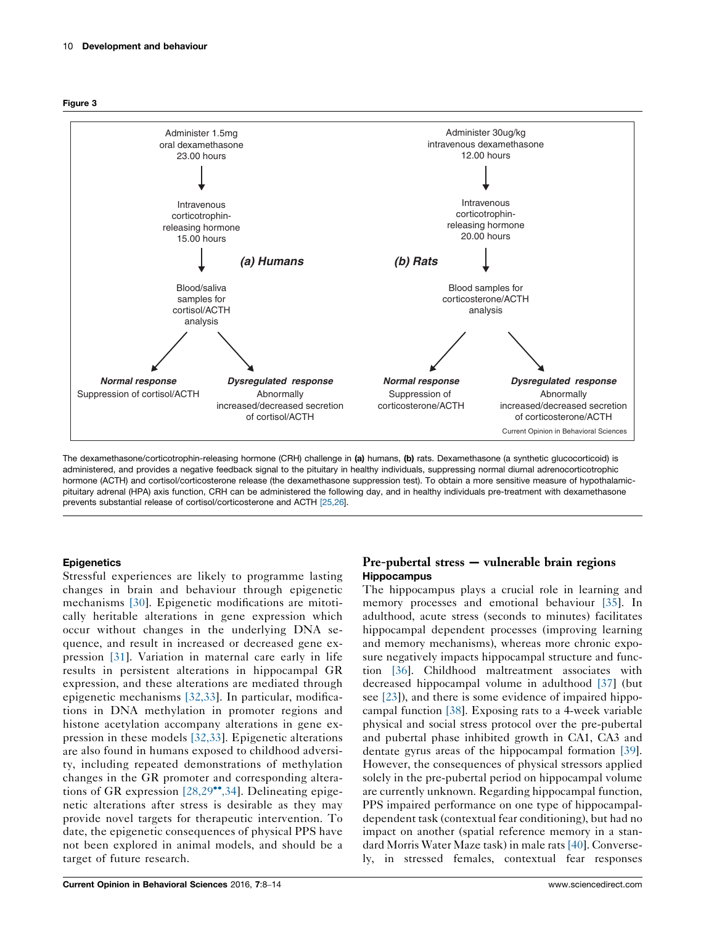<span id="page-2-0"></span>



The dexamethasone/corticotrophin-releasing hormone (CRH) challenge in (a) humans, (b) rats. Dexamethasone (a synthetic glucocorticoid) is administered, and provides a negative feedback signal to the pituitary in healthy individuals, suppressing normal diurnal adrenocorticotrophic hormone (ACTH) and cortisol/corticosterone release (the dexamethasone suppression test). To obtain a more sensitive measure of hypothalamicpituitary adrenal (HPA) axis function, CRH can be administered the following day, and in healthy individuals pre-treatment with dexamethasone prevents substantial release of cortisol/corticosterone and ACTH [\[25,26](#page-5-0)].

# **Epigenetics**

Stressful experiences are likely to programme lasting changes in brain and behaviour through epigenetic mechanisms [\[30](#page-5-0)]. Epigenetic modifications are mitotically heritable alterations in gene expression which occur without changes in the underlying DNA sequence, and result in increased or decreased gene expression [\[31\]](#page-5-0). Variation in maternal care early in life results in persistent alterations in hippocampal GR expression, and these alterations are mediated through epigenetic mechanisms [\[32,33](#page-5-0)]. In particular, modifications in DNA methylation in promoter regions and histone acetylation accompany alterations in gene expression in these models [\[32,33\]](#page-5-0). Epigenetic alterations are also found in humans exposed to childhood adversity, including repeated demonstrations of methylation changes in the GR promoter and corresponding altera-tions of GR expression [\[28,29](#page-5-0)\*[,34](#page-5-0)]. Delineating epigenetic alterations after stress is desirable as they may provide novel targets for therapeutic intervention. To date, the epigenetic consequences of physical PPS have not been explored in animal models, and should be a target of future research.

# Pre-pubertal stress — vulnerable brain regions Hippocampus

The hippocampus plays a crucial role in learning and memory processes and emotional behaviour [\[35\]](#page-5-0). In adulthood, acute stress (seconds to minutes) facilitates hippocampal dependent processes (improving learning and memory mechanisms), whereas more chronic exposure negatively impacts hippocampal structure and function [\[36\]](#page-5-0). Childhood maltreatment associates with decreased hippocampal volume in adulthood [\[37\]](#page-5-0) (but see [\[23](#page-5-0)]), and there is some evidence of impaired hippocampal function [\[38\]](#page-5-0). Exposing rats to a 4-week variable physical and social stress protocol over the pre-pubertal and pubertal phase inhibited growth in CA1, CA3 and dentate gyrus areas of the hippocampal formation [\[39](#page-5-0)]. However, the consequences of physical stressors applied solely in the pre-pubertal period on hippocampal volume are currently unknown. Regarding hippocampal function, PPS impaired performance on one type of hippocampaldependent task (contextual fear conditioning), but had no impact on another (spatial reference memory in a standard Morris Water Maze task) in male rats [\[40](#page-5-0)]. Conversely, in stressed females, contextual fear responses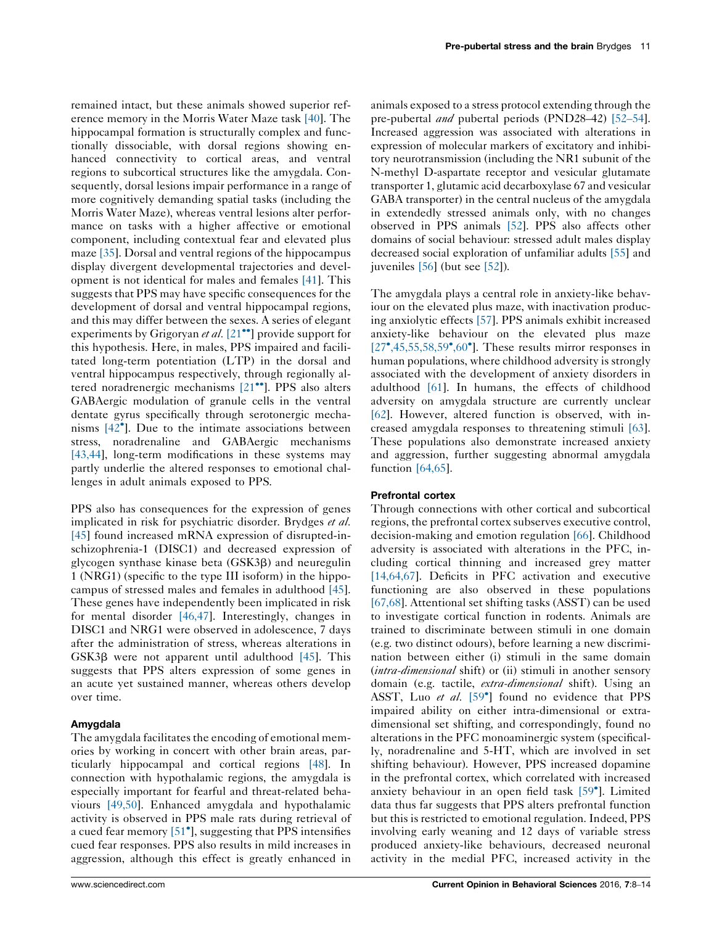Pre-pubertal stress and the brain Brydges 11

remained intact, but these animals showed superior reference memory in the Morris Water Maze task [\[40](#page-5-0)]. The hippocampal formation is structurally complex and functionally dissociable, with dorsal regions showing enhanced connectivity to cortical areas, and ventral regions to subcortical structures like the amygdala. Consequently, dorsal lesions impair performance in a range of more cognitively demanding spatial tasks (including the Morris Water Maze), whereas ventral lesions alter performance on tasks with a higher affective or emotional component, including contextual fear and elevated plus maze [\[35\]](#page-5-0). Dorsal and ventral regions of the hippocampus display divergent developmental trajectories and development is not identical for males and females [\[41](#page-5-0)]. This suggests that PPS may have specific consequences for the development of dorsal and ventral hippocampal regions, and this may differ between the sexes. A series of elegant experiments by Grigoryan et al. [\[21](#page-5-0)<sup>••</sup>] provide support for this hypothesis. Here, in males, PPS impaired and facilitated long-term potentiation (LTP) in the dorsal and ventral hippocampus respectively, through regionally al-tered noradrenergic mechanisms [\[21](#page-5-0)<sup>••</sup>]. PPS also alters GABAergic modulation of granule cells in the ventral dentate gyrus specifically through serotonergic mechanisms  $[42^{\circ}]$  $[42^{\circ}]$ . Due to the intimate associations between stress, noradrenaline and GABAergic mechanisms [\[43,44\]](#page-5-0), long-term modifications in these systems may partly underlie the altered responses to emotional challenges in adult animals exposed to PPS.

PPS also has consequences for the expression of genes implicated in risk for psychiatric disorder. Brydges et al. [\[45](#page-5-0)] found increased mRNA expression of disrupted-inschizophrenia-1 (DISC1) and decreased expression of glycogen synthase kinase beta (GSK3b) and neuregulin 1 (NRG1) (specific to the type III isoform) in the hippocampus of stressed males and females in adulthood [\[45](#page-5-0)]. These genes have independently been implicated in risk for mental disorder [\[46,47](#page-5-0)]. Interestingly, changes in DISC1 and NRG1 were observed in adolescence, 7 days after the administration of stress, whereas alterations in  $GSK3\beta$  were not apparent until adulthood [\[45](#page-5-0)]. This suggests that PPS alters expression of some genes in an acute yet sustained manner, whereas others develop over time.

# Amygdala

The amygdala facilitates the encoding of emotional memories by working in concert with other brain areas, particularly hippocampal and cortical regions [\[48](#page-5-0)]. In connection with hypothalamic regions, the amygdala is especially important for fearful and threat-related behaviours [\[49,50\]](#page-5-0). Enhanced amygdala and hypothalamic activity is observed in PPS male rats during retrieval of a cued fear memory [\[51](#page-5-0)<sup>°</sup>], suggesting that PPS intensifies cued fear responses. PPS also results in mild increases in aggression, although this effect is greatly enhanced in

animals exposed to a stress protocol extending through the pre-pubertal and pubertal periods (PND28-42) [\[52](#page-5-0)-54]. Increased aggression was associated with alterations in expression of molecular markers of excitatory and inhibitory neurotransmission (including the NR1 subunit of the N-methyl D-aspartate receptor and vesicular glutamate transporter 1, glutamic acid decarboxylase 67 and vesicular GABA transporter) in the central nucleus of the amygdala in extendedly stressed animals only, with no changes observed in PPS animals [\[52](#page-5-0)]. PPS also affects other domains of social behaviour: stressed adult males display decreased social exploration of unfamiliar adults [\[55\]](#page-6-0) and juveniles [\[56](#page-6-0)] (but see [\[52](#page-5-0)]).

The amygdala plays a central role in anxiety-like behaviour on the elevated plus maze, with inactivation producing anxiolytic effects [\[57](#page-6-0)]. PPS animals exhibit increased anxiety-like behaviour on the elevated plus maze [\[27](#page-5-0)<sup>\*</sup>[,45,55,58,59](#page-5-0)<sup>\*</sup>[,60](#page-5-0)<sup>\*</sup>]. These results mirror responses in human populations, where childhood adversity is strongly associated with the development of anxiety disorders in adulthood [\[61\]](#page-6-0). In humans, the effects of childhood adversity on amygdala structure are currently unclear [\[62](#page-6-0)]. However, altered function is observed, with increased amygdala responses to threatening stimuli [\[63\]](#page-6-0). These populations also demonstrate increased anxiety and aggression, further suggesting abnormal amygdala function [\[64,65\]](#page-6-0).

## Prefrontal cortex

Through connections with other cortical and subcortical regions, the prefrontal cortex subserves executive control, decision-making and emotion regulation [\[66](#page-6-0)]. Childhood adversity is associated with alterations in the PFC, including cortical thinning and increased grey matter [\[14,64,67](#page-4-0)]. Deficits in PFC activation and executive functioning are also observed in these populations [\[67,68\]](#page-6-0). Attentional set shifting tasks (ASST) can be used to investigate cortical function in rodents. Animals are trained to discriminate between stimuli in one domain (e.g. two distinct odours), before learning a new discrimination between either (i) stimuli in the same domain (*intra-dimensional* shift) or (ii) stimuli in another sensory domain (e.g. tactile, *extra-dimensional* shift). Using an ASST, Luo et al. [\[59](#page-6-0)<sup>°</sup>] found no evidence that PPS impaired ability on either intra-dimensional or extradimensional set shifting, and correspondingly, found no alterations in the PFC monoaminergic system (specifically, noradrenaline and 5-HT, which are involved in set shifting behaviour). However, PPS increased dopamine in the prefrontal cortex, which correlated with increased anxiety behaviour in an open field task [\[59](#page-6-0)°]. Limited data thus far suggests that PPS alters prefrontal function but this is restricted to emotional regulation. Indeed, PPS involving early weaning and 12 days of variable stress produced anxiety-like behaviours, decreased neuronal activity in the medial PFC, increased activity in the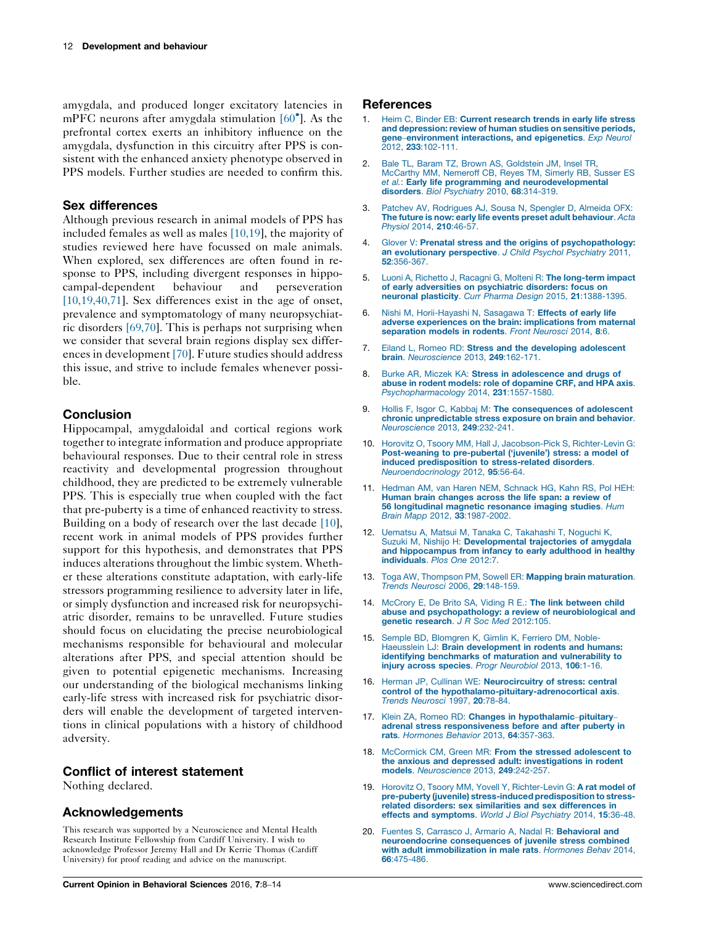<span id="page-4-0"></span>amygdala, and produced longer excitatory latencies in mPFC neurons after amygdala stimulation [\[60](#page-6-0)°]. As the prefrontal cortex exerts an inhibitory influence on the amygdala, dysfunction in this circuitry after PPS is consistent with the enhanced anxiety phenotype observed in PPS models. Further studies are needed to confirm this.

# Sex differences

Although previous research in animal models of PPS has included females as well as males [10,19], the majority of studies reviewed here have focussed on male animals. When explored, sex differences are often found in response to PPS, including divergent responses in hippocampal-dependent behaviour and perseveration [10,19,40,71]. Sex differences exist in the age of onset, prevalence and symptomatology of many neuropsychiatric disorders [\[69,70\]](#page-6-0). This is perhaps not surprising when we consider that several brain regions display sex differences in development [\[70](#page-6-0)]. Future studies should address this issue, and strive to include females whenever possible.

# **Conclusion**

Hippocampal, amygdaloidal and cortical regions work together to integrate information and produce appropriate behavioural responses. Due to their central role in stress reactivity and developmental progression throughout childhood, they are predicted to be extremely vulnerable PPS. This is especially true when coupled with the fact that pre-puberty is a time of enhanced reactivity to stress. Building on a body of research over the last decade [10], recent work in animal models of PPS provides further support for this hypothesis, and demonstrates that PPS induces alterations throughout the limbic system. Whether these alterations constitute adaptation, with early-life stressors programming resilience to adversity later in life, or simply dysfunction and increased risk for neuropsychiatric disorder, remains to be unravelled. Future studies should focus on elucidating the precise neurobiological mechanisms responsible for behavioural and molecular alterations after PPS, and special attention should be given to potential epigenetic mechanisms. Increasing our understanding of the biological mechanisms linking early-life stress with increased risk for psychiatric disorders will enable the development of targeted interventions in clinical populations with a history of childhood adversity.

# Conflict of interest statement

Nothing declared.

# Acknowledgements

This research was supported by a Neuroscience and Mental Health Research Institute Fellowship from Cardiff University. I wish to acknowledge Professor Jeremy Hall and Dr Kerrie Thomas (Cardiff University) for proof reading and advice on the manuscript.

## References

- 1. Heim C, Binder EB: Current [research](http://refhub.elsevier.com/S2352-1546(15)00109-6/sbref0370) trends in early life stress and [depression:](http://refhub.elsevier.com/S2352-1546(15)00109-6/sbref0370) review of human studies on sensitive periods, gene–[environment](http://refhub.elsevier.com/S2352-1546(15)00109-6/sbref0370) interactions, and epigenetics. Exp Neurol 2012, 233[:102-111.](http://refhub.elsevier.com/S2352-1546(15)00109-6/sbref0370)
- 2. Bale TL, Baram TZ, Brown AS, [Goldstein](http://refhub.elsevier.com/S2352-1546(15)00109-6/sbref0375) JM, Insel TR, [McCarthy](http://refhub.elsevier.com/S2352-1546(15)00109-6/sbref0375) MM, Nemeroff CB, Reyes TM, Simerly RB, Susser ES et al.: Early life programming and [neurodevelopmental](http://refhub.elsevier.com/S2352-1546(15)00109-6/sbref0375) disorders. Biol [Psychiatry](http://refhub.elsevier.com/S2352-1546(15)00109-6/sbref0375) 2010, 68:314-319.
- 3. Patchev AV, [Rodrigues](http://refhub.elsevier.com/S2352-1546(15)00109-6/sbref0380) AJ, Sousa N, Spengler D, Almeida OFX: The future is now: early life events preset adult [behaviour](http://refhub.elsevier.com/S2352-1546(15)00109-6/sbref0380). Acta Physiol 2014, 210[:46-57.](http://refhub.elsevier.com/S2352-1546(15)00109-6/sbref0380)
- 4. Glover V: Prenatal stress and the origins of [psychopathology:](http://refhub.elsevier.com/S2352-1546(15)00109-6/sbref0385) an [evolutionary](http://refhub.elsevier.com/S2352-1546(15)00109-6/sbref0385) perspective. J Child Psychol Psychiatry 2011, 52[:356-367.](http://refhub.elsevier.com/S2352-1546(15)00109-6/sbref0385)
- 5. Luoni A, Richetto J, Racagni G, Molteni R: The [long-term](http://refhub.elsevier.com/S2352-1546(15)00109-6/sbref0390) impact of early adversities on [psychiatric](http://refhub.elsevier.com/S2352-1546(15)00109-6/sbref0390) disorders: focus on neuronal plasticity. Curr Pharma Design 2015, 21[:1388-1395.](http://refhub.elsevier.com/S2352-1546(15)00109-6/sbref0390)
- 6. Nishi M, [Horii-Hayashi](http://refhub.elsevier.com/S2352-1546(15)00109-6/sbref0395) N, Sasagawa T: Effects of early life adverse experiences on the brain: [implications](http://refhub.elsevier.com/S2352-1546(15)00109-6/sbref0395) from maternal [separation](http://refhub.elsevier.com/S2352-1546(15)00109-6/sbref0395) models in rodents. Front Neurosci 2014, 8:6.
- 7. Eiland L, Romeo RD: Stress and the developing [adolescent](http://refhub.elsevier.com/S2352-1546(15)00109-6/sbref0400) brain. [Neuroscience](http://refhub.elsevier.com/S2352-1546(15)00109-6/sbref0400) 2013, 249:162-171.
- Burke AR, Miczek KA: Stress in [adolescence](http://refhub.elsevier.com/S2352-1546(15)00109-6/sbref0405) and drugs of abuse in rodent models: role of [dopamine](http://refhub.elsevier.com/S2352-1546(15)00109-6/sbref0405) CRF, and HPA axis. [Psychopharmacology](http://refhub.elsevier.com/S2352-1546(15)00109-6/sbref0405) 2014, 231:1557-1580.
- 9. Hollis F, Isgor C, Kabbaj M: The [consequences](http://refhub.elsevier.com/S2352-1546(15)00109-6/sbref0410) of adolescent chronic [unpredictable](http://refhub.elsevier.com/S2352-1546(15)00109-6/sbref0410) stress exposure on brain and behavior. [Neuroscience](http://refhub.elsevier.com/S2352-1546(15)00109-6/sbref0410) 2013, 249:232-241.
- 10. Horovitz O, Tsoory MM, Hall J, [Jacobson-Pick](http://refhub.elsevier.com/S2352-1546(15)00109-6/sbref0415) S, Richter-Levin G: [Post-weaning](http://refhub.elsevier.com/S2352-1546(15)00109-6/sbref0415) to pre-pubertal ('juvenile') stress: a model of induced [predisposition](http://refhub.elsevier.com/S2352-1546(15)00109-6/sbref0415) to stress-related disorders. [Neuroendocrinology](http://refhub.elsevier.com/S2352-1546(15)00109-6/sbref0415) 2012, 95:56-64.
- 11. Hedman AM, van Haren NEM, [Schnack](http://refhub.elsevier.com/S2352-1546(15)00109-6/sbref0420) HG, Kahn RS, Pol HEH: Human brain [changes](http://refhub.elsevier.com/S2352-1546(15)00109-6/sbref0420) across the life span: a review of **56 [longitudinal](http://refhub.elsevier.com/S2352-1546(15)00109-6/sbref0420) magnetic resonance imaging studies**. Hum<br>Brain Mapp 2012, **33**[:1987-2002.](http://refhub.elsevier.com/S2352-1546(15)00109-6/sbref0420)
- 12. Uematsu A, Matsui M, Tanaka C, [Takahashi](http://refhub.elsevier.com/S2352-1546(15)00109-6/sbref0425) T, Noguchi K, Suzuki M, Nishijo H: [Developmental](http://refhub.elsevier.com/S2352-1546(15)00109-6/sbref0425) trajectories of amygdala and [hippocampus](http://refhub.elsevier.com/S2352-1546(15)00109-6/sbref0425) from infancy to early adulthood in healthy [individuals](http://refhub.elsevier.com/S2352-1546(15)00109-6/sbref0425). Plos One 2012:7.
- 13. Toga AW, Thompson PM, Sowell ER: Mapping brain [maturation](http://refhub.elsevier.com/S2352-1546(15)00109-6/sbref0430). Trends Neurosci 2006, 29[:148-159.](http://refhub.elsevier.com/S2352-1546(15)00109-6/sbref0430)
- 14. McCrory E, De Brito SA, Viding R E.: The link [between](http://refhub.elsevier.com/S2352-1546(15)00109-6/sbref0435) child abuse and [psychopathology:](http://refhub.elsevier.com/S2352-1546(15)00109-6/sbref0435) a review of neurobiological and genetic research. J R Soc Med [2012:105.](http://refhub.elsevier.com/S2352-1546(15)00109-6/sbref0435)
- Semple BD, [Blomgren](http://refhub.elsevier.com/S2352-1546(15)00109-6/sbref0440) K, Gimlin K, Ferriero DM, Noble-Haeusslein LJ: Brain [development](http://refhub.elsevier.com/S2352-1546(15)00109-6/sbref0440) in rodents and humans: identifying [benchmarks](http://refhub.elsevier.com/S2352-1546(15)00109-6/sbref0440) of maturation and vulnerability to injury across species. Progr [Neurobiol](http://refhub.elsevier.com/S2352-1546(15)00109-6/sbref0440) 2013, 106:1-16.
- 16. Herman JP, Cullinan WE: [Neurocircuitry](http://refhub.elsevier.com/S2352-1546(15)00109-6/sbref0445) of stress: central control of the [hypothalamo-pituitary-adrenocortical](http://refhub.elsevier.com/S2352-1546(15)00109-6/sbref0445) axis. Trends [Neurosci](http://refhub.elsevier.com/S2352-1546(15)00109-6/sbref0445) 1997, 20:78-84.
- 17. Klein ZA, Romeo RD: Changes in [hypothalamic](http://refhub.elsevier.com/S2352-1546(15)00109-6/sbref0450)-pituitary adrenal stress [responsiveness](http://refhub.elsevier.com/S2352-1546(15)00109-6/sbref0450) before and after puberty in rats. [Hormones](http://refhub.elsevier.com/S2352-1546(15)00109-6/sbref0450) Behavior 2013, 64:357-363.
- 18. McCormick CM, Green MR: From the stressed [adolescent](http://refhub.elsevier.com/S2352-1546(15)00109-6/sbref0455) to the anxious and depressed adult: [investigations](http://refhub.elsevier.com/S2352-1546(15)00109-6/sbref0455) in rodent models. [Neuroscience](http://refhub.elsevier.com/S2352-1546(15)00109-6/sbref0455) 2013, 249:242-257.
- 19. Horovitz O, Tsoory MM, Yovell Y, [Richter-Levin](http://refhub.elsevier.com/S2352-1546(15)00109-6/sbref0460) G: A rat model of pre-puberty (juvenile) [stress-induced](http://refhub.elsevier.com/S2352-1546(15)00109-6/sbref0460) predisposition to stressrelated disorders: sex similarities and sex [differences](http://refhub.elsevier.com/S2352-1546(15)00109-6/sbref0460) in effects and [symptoms](http://refhub.elsevier.com/S2352-1546(15)00109-6/sbref0460). World J Biol Psychiatry 2014, 15:36-48.
- 20. Fuentes S, Carrasco J, Armario A, Nadal R: [Behavioral](http://refhub.elsevier.com/S2352-1546(15)00109-6/sbref0465) and [neuroendocrine](http://refhub.elsevier.com/S2352-1546(15)00109-6/sbref0465) consequences of juvenile stress combined with adult [immobilization](http://refhub.elsevier.com/S2352-1546(15)00109-6/sbref0465) in male rats. Hormones Behav 2014, 66[:475-486.](http://refhub.elsevier.com/S2352-1546(15)00109-6/sbref0465)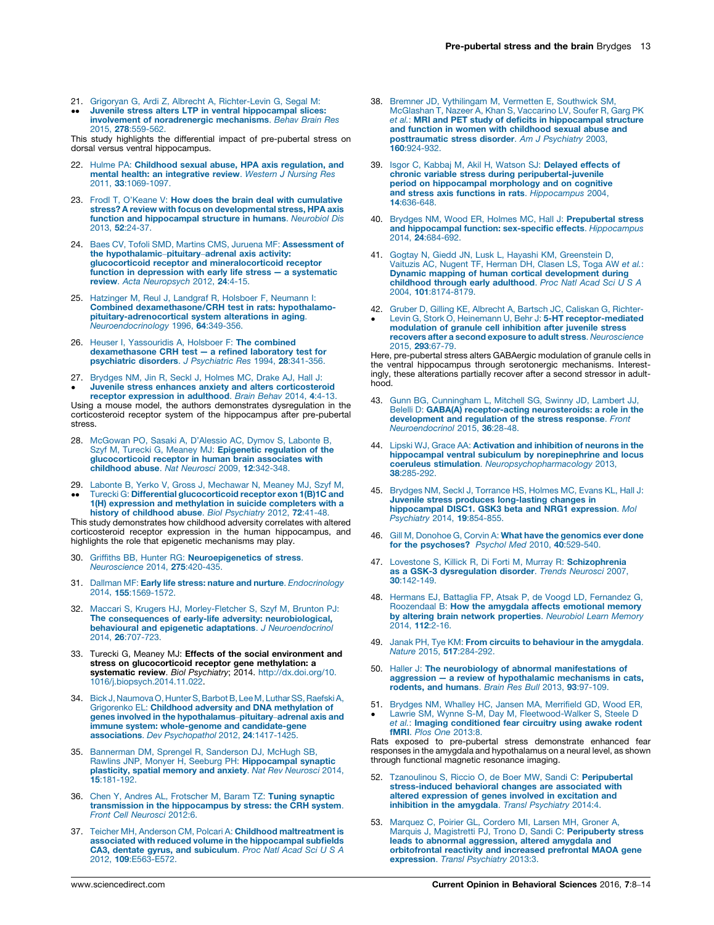- <span id="page-5-0"></span>21. Grigoryan G, Ardi Z, Albrecht A, [Richter-Levin](http://refhub.elsevier.com/S2352-1546(15)00109-6/sbref0470) G, Segal M:
- $\bullet$ -Juvenile stress alters LTP in ventral [hippocampal](http://refhub.elsevier.com/S2352-1546(15)00109-6/sbref0470) slices: involvement of [noradrenergic](http://refhub.elsevier.com/S2352-1546(15)00109-6/sbref0470) mechanisms. Behav Brain Res 2015, 278[:559-562.](http://refhub.elsevier.com/S2352-1546(15)00109-6/sbref0470)

This study highlights the differential impact of pre-pubertal stress on dorsal versus ventral hippocampus.

- 22. Hulme PA: Childhood sexual abuse, HPA axis [regulation,](http://refhub.elsevier.com/S2352-1546(15)00109-6/sbref0475) and mental health: an [integrative](http://refhub.elsevier.com/S2352-1546(15)00109-6/sbref0475) review. Western J Nursing Res 2011, 33[:1069-1097.](http://refhub.elsevier.com/S2352-1546(15)00109-6/sbref0475)
- 23. Frodl T, O'Keane V: How does the brain deal with [cumulative](http://refhub.elsevier.com/S2352-1546(15)00109-6/sbref0480) stress? A review with focus on [developmental](http://refhub.elsevier.com/S2352-1546(15)00109-6/sbref0480) stress, HPA axis function and [hippocampal](http://refhub.elsevier.com/S2352-1546(15)00109-6/sbref0480) structure in humans. Neurobiol Dis 2013, 52[:24-37.](http://refhub.elsevier.com/S2352-1546(15)00109-6/sbref0480)
- 24. Baes CV, Tofoli SMD, Martins CMS, Juruena MF: [Assessment](http://refhub.elsevier.com/S2352-1546(15)00109-6/sbref0485) of the [hypothalamic](http://refhub.elsevier.com/S2352-1546(15)00109-6/sbref0485)–pituitary–adrenal axis activity: glucocorticoid receptor and [mineralocorticoid](http://refhub.elsevier.com/S2352-1546(15)00109-6/sbref0485) receptor function in [depression](http://refhub.elsevier.com/S2352-1546(15)00109-6/sbref0485) with early life stress — a systematic review. Acta [Neuropsych](http://refhub.elsevier.com/S2352-1546(15)00109-6/sbref0485) 2012, 24:4-15.
- 25. Hatzinger M, Reul J, Landgraf R, Holsboer F, [Neumann](http://refhub.elsevier.com/S2352-1546(15)00109-6/sbref0490) I: Combined [dexamethasone/CRH](http://refhub.elsevier.com/S2352-1546(15)00109-6/sbref0490) test in rats: hypothalamo[pituitary-adrenocortical](http://refhub.elsevier.com/S2352-1546(15)00109-6/sbref0490) system alterations in aging. [Neuroendocrinology](http://refhub.elsevier.com/S2352-1546(15)00109-6/sbref0490) 1996, 64:349-356.
- 26. Heuser I, [Yassouridis](http://refhub.elsevier.com/S2352-1546(15)00109-6/sbref0495) A, Holsboer F: The combined [dexamethasone](http://refhub.elsevier.com/S2352-1546(15)00109-6/sbref0495) CRH test — a refined laboratory test for [psychiatric](http://refhub.elsevier.com/S2352-1546(15)00109-6/sbref0495) disorders. J Psychiatric Res 1994, 28:341-356.
- 27. [Brydges](http://refhub.elsevier.com/S2352-1546(15)00109-6/sbref0500) NM, Jin R, Seckl J, Holmes MC, Drake AJ, Hall J:  $\bullet$ Juvenile stress enhances anxiety and alters [corticosteroid](http://refhub.elsevier.com/S2352-1546(15)00109-6/sbref0500)

receptor [expression](http://refhub.elsevier.com/S2352-1546(15)00109-6/sbref0500) in adulthood. Brain Behav 2014, 4:4-13. Using a mouse model, the authors demonstrates dysregulation in the corticosteroid receptor system of the hippocampus after pre-pubertal stress.

- 28. [McGowan](http://refhub.elsevier.com/S2352-1546(15)00109-6/sbref0505) PO, Sasaki A, D'Alessio AC, Dymov S, Labonte B, Szyf M, Turecki G, Meaney MJ: [Epigenetic](http://refhub.elsevier.com/S2352-1546(15)00109-6/sbref0505) regulation of the [glucocorticoid](http://refhub.elsevier.com/S2352-1546(15)00109-6/sbref0505) receptor in human brain associates with [childhood](http://refhub.elsevier.com/S2352-1546(15)00109-6/sbref0505) abuse. Nat Neurosci 2009, 12:342-348.
- 29. Labonte B, Yerko V, Gross J, [Mechawar](http://refhub.elsevier.com/S2352-1546(15)00109-6/sbref0510) N, Meaney MJ, Szyf M,
- $\bullet$  $\bullet$ Turecki G: Differential [glucocorticoid](http://refhub.elsevier.com/S2352-1546(15)00109-6/sbref0510) receptor exon 1(B)1C and 1(H) expression and [methylation](http://refhub.elsevier.com/S2352-1546(15)00109-6/sbref0510) in suicide completers with a history of [childhood](http://refhub.elsevier.com/S2352-1546(15)00109-6/sbref0510) abuse. Biol Psychiatry 2012, 72:41-48.

This study demonstrates how childhood adversity correlates with altered corticosteroid receptor expression in the human hippocampus, and highlights the role that epigenetic mechanisms may play.

- 30. Griffiths BB, Hunter RG: [Neuroepigenetics](http://refhub.elsevier.com/S2352-1546(15)00109-6/sbref0515) of stress. [Neuroscience](http://refhub.elsevier.com/S2352-1546(15)00109-6/sbref0515) 2014, 275:420-435.
- 31. Dallman MF: Early life stress: nature and nurture. [Endocrinology](http://refhub.elsevier.com/S2352-1546(15)00109-6/sbref0520) 2014, 155[:1569-1572.](http://refhub.elsevier.com/S2352-1546(15)00109-6/sbref0520)
- 32. Maccari S, Krugers HJ, [Morley-Fletcher](http://refhub.elsevier.com/S2352-1546(15)00109-6/sbref0525) S, Szyf M, Brunton PJ: The consequences of early-life adversity: [neurobiological,](http://refhub.elsevier.com/S2352-1546(15)00109-6/sbref0525) behavioural and epigenetic adaptations. J [Neuroendocrinol](http://refhub.elsevier.com/S2352-1546(15)00109-6/sbref0525) 2014, 26[:707-723.](http://refhub.elsevier.com/S2352-1546(15)00109-6/sbref0525)
- 33. Turecki G, Meaney MJ: Effects of the social environment and stress on glucocorticoid receptor gene methylation: a<br>systematic review. *Biol Psychiatry*; 2014. [http://dx.doi.org/10.](http://dx.doi.org/10.1016/j.biopsych.2014.11.022) [1016/j.biopsych.2014.11.022](http://dx.doi.org/10.1016/j.biopsych.2014.11.022).
- 34. Bick J, Naumova O, Hunter S, Barbot B, Lee M, Luthar SS, Raefski A,<br>Grigorenko EL: **Childhood adversity and DNA [methylation](http://refhub.elsevier.com/S2352-1546(15)00109-6/sbref0535) of** genes involved in the [hypothalamus](http://refhub.elsevier.com/S2352-1546(15)00109-6/sbref0535)–pituitary–adrenal axis and immune system: whole-genome and [candidate-gene](http://refhub.elsevier.com/S2352-1546(15)00109-6/sbref0535) associations. Dev [Psychopathol](http://refhub.elsevier.com/S2352-1546(15)00109-6/sbref0535) 2012, 24:1417-1425.
- 35. [Bannerman](http://refhub.elsevier.com/S2352-1546(15)00109-6/sbref0540) DM, Sprengel R, Sanderson DJ, McHugh SB, Rawlins JNP, Monyer H, Seeburg PH: [Hippocampal](http://refhub.elsevier.com/S2352-1546(15)00109-6/sbref0540) synaptic [plasticity,](http://refhub.elsevier.com/S2352-1546(15)00109-6/sbref0540) spatial memory and anxiety. Nat Rev Neurosci 2014, 15[:181-192.](http://refhub.elsevier.com/S2352-1546(15)00109-6/sbref0540)
- 36. Chen Y, Andres AL, [Frotscher](http://refhub.elsevier.com/S2352-1546(15)00109-6/sbref0545) M, Baram TZ: Tuning synaptic transmission in the [hippocampus](http://refhub.elsevier.com/S2352-1546(15)00109-6/sbref0545) by stress: the CRH system. Front Cell [Neurosci](http://refhub.elsevier.com/S2352-1546(15)00109-6/sbref0545) 2012:6.
- 37. Teicher MH, Anderson CM, Polcari A: Childhood [maltreatment](http://refhub.elsevier.com/S2352-1546(15)00109-6/sbref0550) is associated with reduced volume in the [hippocampal](http://refhub.elsevier.com/S2352-1546(15)00109-6/sbref0550) subfields **CA3, dentate gyrus, and [subiculum](http://refhub.elsevier.com/S2352-1546(15)00109-6/sbref0550)**. *Proc Natl Acad Sci U S A*<br>2012, **109**[:E563-E572.](http://refhub.elsevier.com/S2352-1546(15)00109-6/sbref0550)
- 38. Bremner JD, [Vythilingam](http://refhub.elsevier.com/S2352-1546(15)00109-6/sbref0555) M, Vermetten E, Southwick SM, [McGlashan](http://refhub.elsevier.com/S2352-1546(15)00109-6/sbref0555) T, Nazeer A, Khan S, Vaccarino LV, Soufer R, Garg PK et al.: MRI and PET study of deficits in [hippocampal](http://refhub.elsevier.com/S2352-1546(15)00109-6/sbref0555) structure and function in women with [childhood](http://refhub.elsevier.com/S2352-1546(15)00109-6/sbref0555) sexual abuse and [posttraumatic](http://refhub.elsevier.com/S2352-1546(15)00109-6/sbref0555) stress disorder. Am J Psychiatry 2003, 160[:924-932.](http://refhub.elsevier.com/S2352-1546(15)00109-6/sbref0555)
- 39. Isgor C, Kabbaj M, Akil H, Watson SJ: [Delayed](http://refhub.elsevier.com/S2352-1546(15)00109-6/sbref0560) effects of chronic variable stress during [peripubertal-juvenile](http://refhub.elsevier.com/S2352-1546(15)00109-6/sbref0560) period on [hippocampal](http://refhub.elsevier.com/S2352-1546(15)00109-6/sbref0560) morphology and on cognitive and stress axis functions in rats. [Hippocampus](http://refhub.elsevier.com/S2352-1546(15)00109-6/sbref0560) 2004, 14[:636-648.](http://refhub.elsevier.com/S2352-1546(15)00109-6/sbref0560)
- 40. Brydges NM, Wood ER, Holmes MC, Hall J: [Prepubertal](http://refhub.elsevier.com/S2352-1546(15)00109-6/sbref0565) stress and hippocampal function: sex-specific effects. [Hippocampus](http://refhub.elsevier.com/S2352-1546(15)00109-6/sbref0565) 2014, 24[:684-692.](http://refhub.elsevier.com/S2352-1546(15)00109-6/sbref0565)
- 41. Gogtay N, Giedd JN, Lusk L, Hayashi KM, [Greenstein](http://refhub.elsevier.com/S2352-1546(15)00109-6/sbref0570) D, Vaituzis AC, Nugent TF, [Herman](http://refhub.elsevier.com/S2352-1546(15)00109-6/sbref0570) DH, Clasen LS, Toga AW et al.: Dynamic mapping of human cortical [development](http://refhub.elsevier.com/S2352-1546(15)00109-6/sbref0570) during childhood through early [adulthood](http://refhub.elsevier.com/S2352-1546(15)00109-6/sbref0570). Proc Natl Acad Sci U S A 2004, 101[:8174-8179.](http://refhub.elsevier.com/S2352-1546(15)00109-6/sbref0570)
- 42. 42. Gruber D, Gilling KE, Albrecht A, Bartsch JC, [Caliskan](http://refhub.elsevier.com/S2352-1546(15)00109-6/sbref0575) G, Richter-<br>• Levin G, Stork O, Heinemann U, Behr J: 5-HT [receptor-mediated](http://refhub.elsevier.com/S2352-1546(15)00109-6/sbref0575) [modulation](http://refhub.elsevier.com/S2352-1546(15)00109-6/sbref0575) of granule cell inhibition after juvenile stress recovers after a second exposure to adult stress. [Neuroscience](http://refhub.elsevier.com/S2352-1546(15)00109-6/sbref0575) 2015, 293[:67-79.](http://refhub.elsevier.com/S2352-1546(15)00109-6/sbref0575)

Here, pre-pubertal stress alters GABAergic modulation of granule cells in the ventral hippocampus through serotonergic mechanisms. Interestingly, these alterations partially recover after a second stressor in adulthood.

- 43. Gunn BG, [Cunningham](http://refhub.elsevier.com/S2352-1546(15)00109-6/sbref0580) L, Mitchell SG, Swinny JD, Lambert JJ, Belelli D: GABA(A) [receptor-acting](http://refhub.elsevier.com/S2352-1546(15)00109-6/sbref0580) neurosteroids: a role in the [development](http://refhub.elsevier.com/S2352-1546(15)00109-6/sbref0580) and regulation of the stress response. Front [Neuroendocrinol](http://refhub.elsevier.com/S2352-1546(15)00109-6/sbref0580) 2015, 36:28-48.
- 44. Lipski WJ, Grace AA: [Activation](http://refhub.elsevier.com/S2352-1546(15)00109-6/sbref0585) and inhibition of neurons in the hippocampal ventral subiculum by [norepinephrine](http://refhub.elsevier.com/S2352-1546(15)00109-6/sbref0585) and locus coeruleus stimulation. [Neuropsychopharmacology](http://refhub.elsevier.com/S2352-1546(15)00109-6/sbref0585) 2013, 38[:285-292.](http://refhub.elsevier.com/S2352-1546(15)00109-6/sbref0585)
- 45. Brydges NM, Seckl J, [Torrance](http://refhub.elsevier.com/S2352-1546(15)00109-6/sbref0590) HS, Holmes MC, Evans KL, Hall J: Juvenile stress produces [long-lasting](http://refhub.elsevier.com/S2352-1546(15)00109-6/sbref0590) changes in [hippocampal](http://refhub.elsevier.com/S2352-1546(15)00109-6/sbref0590) DISC1. GSK3 beta and NRG1 expression. Mol [Psychiatry](http://refhub.elsevier.com/S2352-1546(15)00109-6/sbref0590) 2014, 19:854-855.
- 46. Gill M, Donohoe G, Corvin A: What have the [genomics](http://refhub.elsevier.com/S2352-1546(15)00109-6/sbref0595) ever done for the [psychoses?](http://refhub.elsevier.com/S2352-1546(15)00109-6/sbref0595) Psychol Med 2010, 40:529-540.
- 47. Lovestone S, Killick R, Di Forti M, Murray R: [Schizophrenia](http://refhub.elsevier.com/S2352-1546(15)00109-6/sbref0600)<br>as a GSK-3 [dysregulation](http://refhub.elsevier.com/S2352-1546(15)00109-6/sbref0600) disorder. Trends Neurosci 2007, 30[:142-149.](http://refhub.elsevier.com/S2352-1546(15)00109-6/sbref0600)
- 48. Hermans EJ, Battaglia FP, Atsak P, de Voogd LD, [Fernandez](http://refhub.elsevier.com/S2352-1546(15)00109-6/sbref0605) G, [Roozendaal](http://refhub.elsevier.com/S2352-1546(15)00109-6/sbref0605) B: How the amygdala affects emotional memory by altering brain network [properties](http://refhub.elsevier.com/S2352-1546(15)00109-6/sbref0605). Neurobiol Learn Memory 2014, 112[:2-16.](http://refhub.elsevier.com/S2352-1546(15)00109-6/sbref0605)
- 49. Janak PH, Tye KM: From circuits to [behaviour](http://refhub.elsevier.com/S2352-1546(15)00109-6/sbref0610) in the amygdala. Nature 2015, 517[:284-292.](http://refhub.elsevier.com/S2352-1546(15)00109-6/sbref0610)
- 50. Haller J: The neurobiology of abnormal [manifestations](http://refhub.elsevier.com/S2352-1546(15)00109-6/sbref0615) of [aggression](http://refhub.elsevier.com/S2352-1546(15)00109-6/sbref0615) — a review of [hypothalamic](http://refhub.elsevier.com/S2352-1546(15)00109-6/sbref0615) mechanisms in cats,<br>[rodents,](http://refhub.elsevier.com/S2352-1546(15)00109-6/sbref0615) and humans. Brain Res Bull 2013, 93:97-109.
- 51.
- 51. Brydges NM, Whalley HC, Jansen MA, [Merrifield](http://refhub.elsevier.com/S2352-1546(15)00109-6/sbref0620) GD, Wood ER,<br>Lawrie SM, Wynne S-M, Day M, [Fleetwood-Walker](http://refhub.elsevier.com/S2352-1546(15)00109-6/sbref0620) S, Steele D<br>*et al.*: **Imaging [conditioned](http://refhub.elsevier.com/S2352-1546(15)00109-6/sbref0620) fear circuitry using awake rodent** fMRI. Plos One [2013:8.](http://refhub.elsevier.com/S2352-1546(15)00109-6/sbref0620)

Rats exposed to pre-pubertal stress demonstrate enhanced fear responses in the amygdala and hypothalamus on a neural level, as shown through functional magnetic resonance imaging.

- 52. Tzanoulinou S, Riccio O, de Boer MW, Sandi C: [Peripubertal](http://refhub.elsevier.com/S2352-1546(15)00109-6/sbref0625) [stress-induced](http://refhub.elsevier.com/S2352-1546(15)00109-6/sbref0625) behavioral changes are associated with altered [expression](http://refhub.elsevier.com/S2352-1546(15)00109-6/sbref0625) of genes involved in excitation and inhibition in the [amygdala](http://refhub.elsevier.com/S2352-1546(15)00109-6/sbref0625). Transl Psychiatry 2014:4.
- [Marquez](http://refhub.elsevier.com/S2352-1546(15)00109-6/sbref0630) C, Poirier GL, Cordero MI, Larsen MH, Groner A, Marquis J, Magistretti PJ, Trono D, Sandi C: [Peripuberty](http://refhub.elsevier.com/S2352-1546(15)00109-6/sbref0630) stress leads to abnormal [aggression,](http://refhub.elsevier.com/S2352-1546(15)00109-6/sbref0630) altered amygdala and [orbitofrontal](http://refhub.elsevier.com/S2352-1546(15)00109-6/sbref0630) reactivity and increased prefrontal MAOA gene [expression](http://refhub.elsevier.com/S2352-1546(15)00109-6/sbref0630). Transl Psychiatry 2013:3.